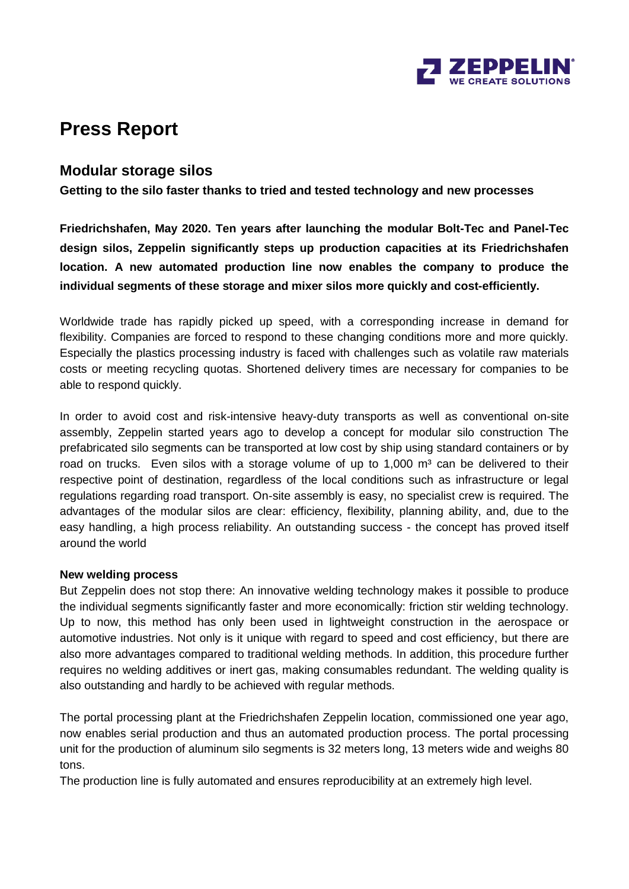

# **Press Report**

### **Modular storage silos**

**Getting to the silo faster thanks to tried and tested technology and new processes**

**Friedrichshafen, May 2020. Ten years after launching the modular Bolt-Tec and Panel-Tec design silos, Zeppelin significantly steps up production capacities at its Friedrichshafen location. A new automated production line now enables the company to produce the individual segments of these storage and mixer silos more quickly and cost-efficiently.**

Worldwide trade has rapidly picked up speed, with a corresponding increase in demand for flexibility. Companies are forced to respond to these changing conditions more and more quickly. Especially the plastics processing industry is faced with challenges such as volatile raw materials costs or meeting recycling quotas. Shortened delivery times are necessary for companies to be able to respond quickly.

In order to avoid cost and risk-intensive heavy-duty transports as well as conventional on-site assembly, Zeppelin started years ago to develop a concept for modular silo construction The prefabricated silo segments can be transported at low cost by ship using standard containers or by road on trucks. Even silos with a storage volume of up to  $1,000$  m<sup>3</sup> can be delivered to their respective point of destination, regardless of the local conditions such as infrastructure or legal regulations regarding road transport. On-site assembly is easy, no specialist crew is required. The advantages of the modular silos are clear: efficiency, flexibility, planning ability, and, due to the easy handling, a high process reliability. An outstanding success - the concept has proved itself around the world

#### **New welding process**

But Zeppelin does not stop there: An innovative welding technology makes it possible to produce the individual segments significantly faster and more economically: friction stir welding technology. Up to now, this method has only been used in lightweight construction in the aerospace or automotive industries. Not only is it unique with regard to speed and cost efficiency, but there are also more advantages compared to traditional welding methods. In addition, this procedure further requires no welding additives or inert gas, making consumables redundant. The welding quality is also outstanding and hardly to be achieved with regular methods.

The portal processing plant at the Friedrichshafen Zeppelin location, commissioned one year ago, now enables serial production and thus an automated production process. The portal processing unit for the production of aluminum silo segments is 32 meters long, 13 meters wide and weighs 80 tons.

The production line is fully automated and ensures reproducibility at an extremely high level.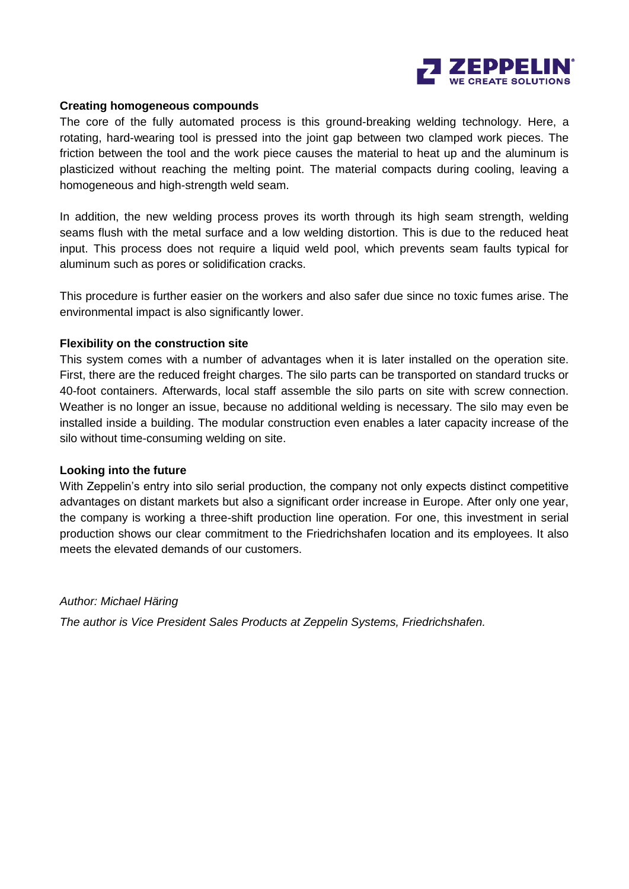

#### **Creating homogeneous compounds**

The core of the fully automated process is this ground-breaking welding technology. Here, a rotating, hard-wearing tool is pressed into the joint gap between two clamped work pieces. The friction between the tool and the work piece causes the material to heat up and the aluminum is plasticized without reaching the melting point. The material compacts during cooling, leaving a homogeneous and high-strength weld seam.

In addition, the new welding process proves its worth through its high seam strength, welding seams flush with the metal surface and a low welding distortion. This is due to the reduced heat input. This process does not require a liquid weld pool, which prevents seam faults typical for aluminum such as pores or solidification cracks.

This procedure is further easier on the workers and also safer due since no toxic fumes arise. The environmental impact is also significantly lower.

#### **Flexibility on the construction site**

This system comes with a number of advantages when it is later installed on the operation site. First, there are the reduced freight charges. The silo parts can be transported on standard trucks or 40-foot containers. Afterwards, local staff assemble the silo parts on site with screw connection. Weather is no longer an issue, because no additional welding is necessary. The silo may even be installed inside a building. The modular construction even enables a later capacity increase of the silo without time-consuming welding on site.

#### **Looking into the future**

With Zeppelin's entry into silo serial production, the company not only expects distinct competitive advantages on distant markets but also a significant order increase in Europe. After only one year, the company is working a three-shift production line operation. For one, this investment in serial production shows our clear commitment to the Friedrichshafen location and its employees. It also meets the elevated demands of our customers.

*Author: Michael Häring* 

*The author is Vice President Sales Products at Zeppelin Systems, Friedrichshafen.*